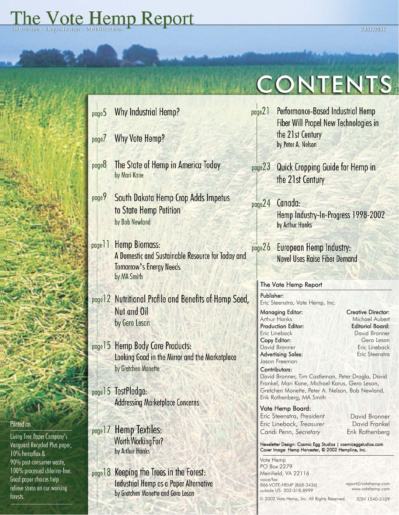

# **CONTENTS**

- page21 Performance-Based Industrial Hemp **Fiber Will Propel New Technologies in** the 21st Century by Peter A. Nelson page23 Quick Cropping Guide for Hemp in the 21st Century  $page24$ Canada: Hemp Industry-In-Progress 1998-2002 by Arthur Hanks
	- page26 European Hemp Industry: Novel Uses Raise Fiber Demand

### The Vote Hemp Report

Publisher: Eric Steenstra, Vote Hemp, Inc.

Managing Editor: Arthur Hanks Production Editor: Eric Lineback Copy Editor: David Bronner Advertising Sales: Jason Freeman

Creative Director: Michael Aubert Editorial Board: David Bronner Gero Leson Eric Lineback Eric Steenstra

Contributors: David Bronner, Tim Castleman, Peter Dragla, David Frankel, Mari Kane, Michael Karus, Gero Leson, Gretchen Monette, Peter A. Nelson, Bob Newland, Erik Rothenberg, MA Smith

Vote Hemp Board: Eric Steenstra, *President* Eric Lineback, *Treasurer* Candi Penn, *Secretary*

David Bronner David Frankel Erik Rothenberg

#### Newsletter Design: Cosmic Egg Studios | cosmiceggstudios.com Cover Image: Hemp Harvester, © 2002 Hempline, Inc.

Vote Hemp PO Box 2279 Merrifield, VA 22116 voice/fax: 866-VOTE-HEMP (868-3436) outside US: 202-318-8999

report@votehemp.com www.votehemp.com

© 2002 Vote Hemp, Inc. All Rights Reserved. ISSN 1540-5109

page 18 Keeping the Trees in the Forest: Industrial Hemp as a Paper Alternative by Gretchen Monette and Gero Leson

## Printed on

Living Tree Paper Company's Vanguard Recycled Plus paper, 10% hempflax & 90% post-consumer waste, 100% processed chlorine-free. Good paper choices help relieve stress on our working forests.